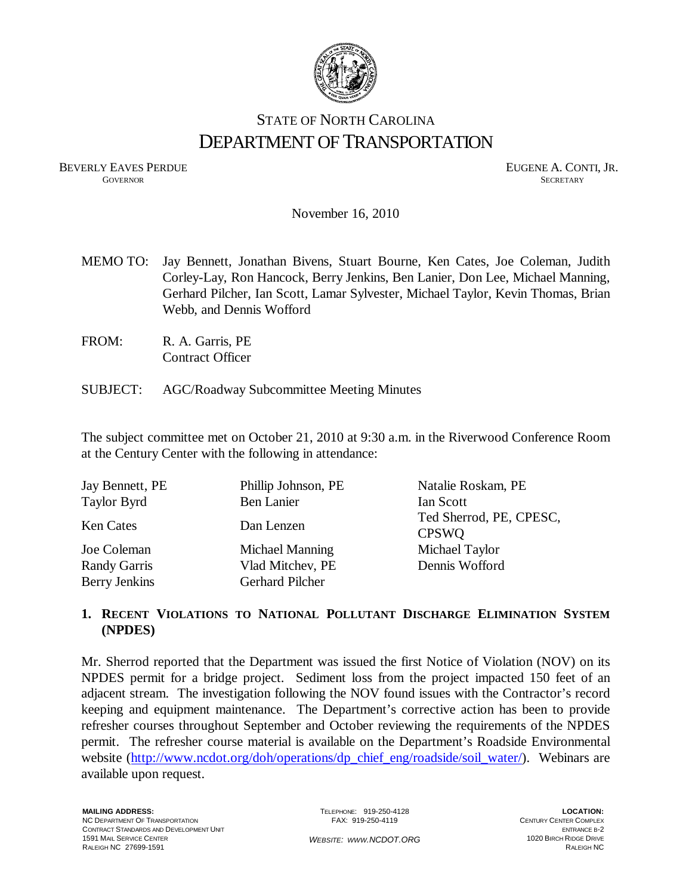

## STATE OF NORTH CAROLINA DEPARTMENT OF TRANSPORTATION

BEVERLY EAVES PERDUE GOVERNOR GOVERNOR CONTINUES CONTINUES CONTINUES CONTINUES CONTINUES CONTINUES CONTINUES CONTINUES CONTINUES CONTINUES CONTINUES CONTINUES CONTINUES CONTINUES CONTINUES CONTINUES CONTINUES CONTINUES CON **GOVERNOR SECRETARY** SECRETARY

November 16, 2010

- MEMO TO: Jay Bennett, Jonathan Bivens, Stuart Bourne, Ken Cates, Joe Coleman, Judith Corley-Lay, Ron Hancock, Berry Jenkins, Ben Lanier, Don Lee, Michael Manning, Gerhard Pilcher, Ian Scott, Lamar Sylvester, Michael Taylor, Kevin Thomas, Brian Webb, and Dennis Wofford
- FROM: R. A. Garris, PE Contract Officer
- SUBJECT: AGC/Roadway Subcommittee Meeting Minutes

The subject committee met on October 21, 2010 at 9:30 a.m. in the Riverwood Conference Room at the Century Center with the following in attendance:

| Jay Bennett, PE                      | Phillip Johnson, PE                        | Natalie Roskam, PE                      |
|--------------------------------------|--------------------------------------------|-----------------------------------------|
| <b>Taylor Byrd</b>                   | <b>Ben Lanier</b>                          | Ian Scott                               |
| <b>Ken Cates</b>                     | Dan Lenzen                                 | Ted Sherrod, PE, CPESC,<br><b>CPSWO</b> |
| Joe Coleman                          | Michael Manning                            | Michael Taylor                          |
| <b>Randy Garris</b><br>Berry Jenkins | Vlad Mitchev, PE<br><b>Gerhard Pilcher</b> | Dennis Wofford                          |

### **1. RECENT VIOLATIONS TO NATIONAL POLLUTANT DISCHARGE ELIMINATION SYSTEM (NPDES)**

Mr. Sherrod reported that the Department was issued the first Notice of Violation (NOV) on its NPDES permit for a bridge project. Sediment loss from the project impacted 150 feet of an adjacent stream. The investigation following the NOV found issues with the Contractor's record keeping and equipment maintenance. The Department's corrective action has been to provide refresher [courses throughout September and October reviewing the requirements of the NPDES](http://www.ncdot.org/doh/operations/dp_chief_eng/roadside/soil_water/)  permit. The refresher course material is available on the Department's Roadside Environmental website (http://www.ncdot.org/doh/operations/dp\_chief\_eng/roadside/soil\_water/). Webinars are available upon request.

TELEPHONE: 919-250-4128 FAX: 919-250-4119

**LOCATION:**  CENTURY CENTER COMPLEX ENTRANCE B-2 1020 BIRCH RIDGE DRIVE RALEIGH NC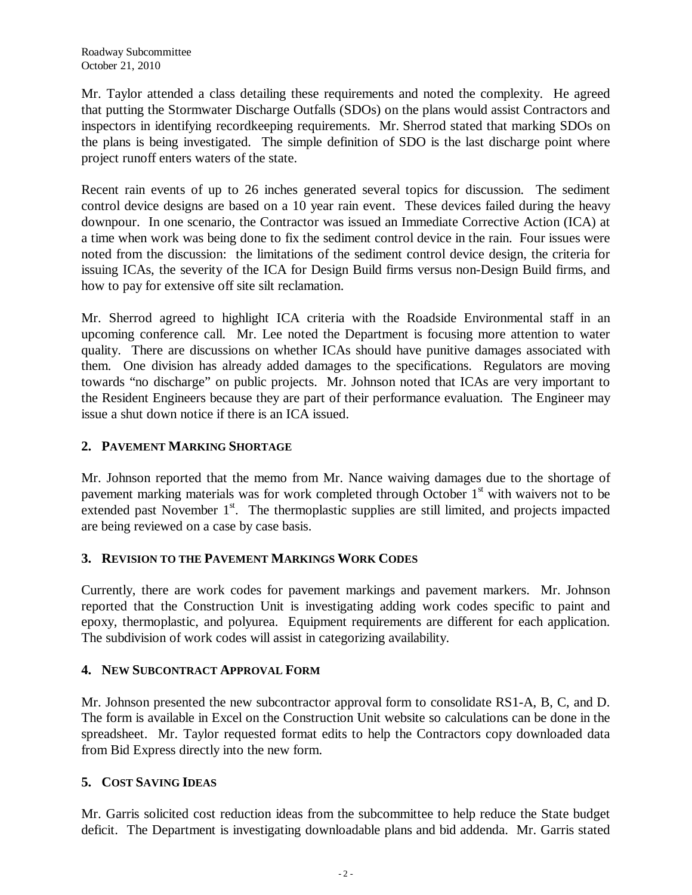Mr. Taylor attended a class detailing these requirements and noted the complexity. He agreed that putting the Stormwater Discharge Outfalls (SDOs) on the plans would assist Contractors and inspectors in identifying recordkeeping requirements. Mr. Sherrod stated that marking SDOs on the plans is being investigated. The simple definition of SDO is the last discharge point where project runoff enters waters of the state.

Recent rain events of up to 26 inches generated several topics for discussion. The sediment control device designs are based on a 10 year rain event. These devices failed during the heavy downpour. In one scenario, the Contractor was issued an Immediate Corrective Action (ICA) at a time when work was being done to fix the sediment control device in the rain. Four issues were noted from the discussion: the limitations of the sediment control device design, the criteria for issuing ICAs, the severity of the ICA for Design Build firms versus non-Design Build firms, and how to pay for extensive off site silt reclamation.

Mr. Sherrod agreed to highlight ICA criteria with the Roadside Environmental staff in an upcoming conference call. Mr. Lee noted the Department is focusing more attention to water quality. There are discussions on whether ICAs should have punitive damages associated with them. One division has already added damages to the specifications. Regulators are moving towards "no discharge" on public projects. Mr. Johnson noted that ICAs are very important to the Resident Engineers because they are part of their performance evaluation. The Engineer may issue a shut down notice if there is an ICA issued.

### **2. PAVEMENT MARKING SHORTAGE**

Mr. Johnson reported that the memo from Mr. Nance waiving damages due to the shortage of pavement marking materials was for work completed through October  $1<sup>st</sup>$  with waivers not to be extended past November  $1<sup>st</sup>$ . The thermoplastic supplies are still limited, and projects impacted are being reviewed on a case by case basis.

### **3. REVISION TO THE PAVEMENT MARKINGS WORK CODES**

Currently, there are work codes for pavement markings and pavement markers. Mr. Johnson reported that the Construction Unit is investigating adding work codes specific to paint and epoxy, thermoplastic, and polyurea. Equipment requirements are different for each application. The subdivision of work codes will assist in categorizing availability.

### **4. NEW SUBCONTRACT APPROVAL FORM**

Mr. Johnson presented the new subcontractor approval form to consolidate RS1-A, B, C, and D. The form is available in Excel on the Construction Unit website so calculations can be done in the spreadsheet. Mr. Taylor requested format edits to help the Contractors copy downloaded data from Bid Express directly into the new form.

### **5. COST SAVING IDEAS**

Mr. Garris solicited cost reduction ideas from the subcommittee to help reduce the State budget deficit. The Department is investigating downloadable plans and bid addenda. Mr. Garris stated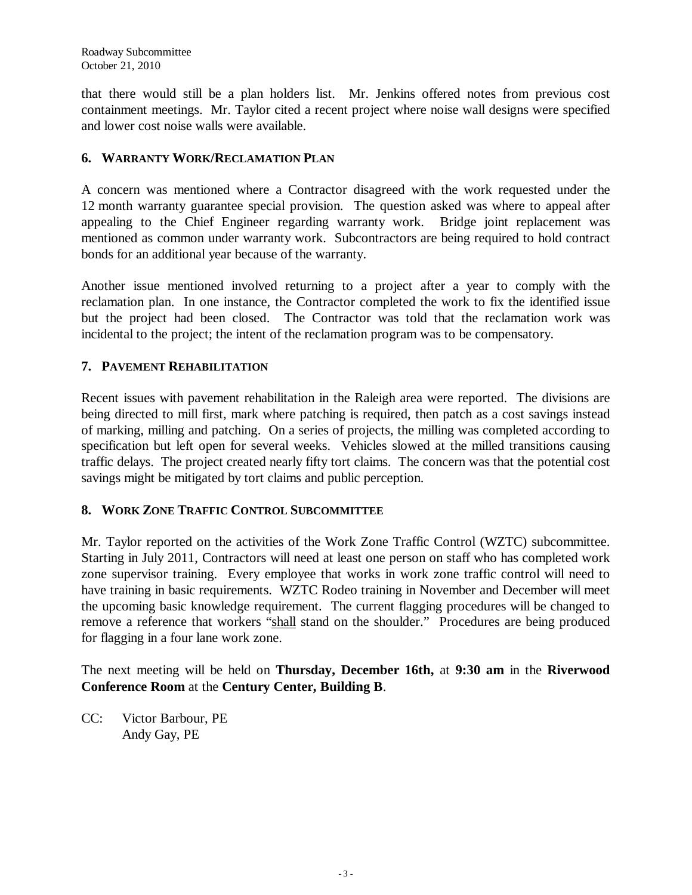that there would still be a plan holders list. Mr. Jenkins offered notes from previous cost containment meetings. Mr. Taylor cited a recent project where noise wall designs were specified and lower cost noise walls were available.

### **6. WARRANTY WORK/RECLAMATION PLAN**

A concern was mentioned where a Contractor disagreed with the work requested under the 12 month warranty guarantee special provision. The question asked was where to appeal after appealing to the Chief Engineer regarding warranty work. Bridge joint replacement was mentioned as common under warranty work. Subcontractors are being required to hold contract bonds for an additional year because of the warranty.

Another issue mentioned involved returning to a project after a year to comply with the reclamation plan. In one instance, the Contractor completed the work to fix the identified issue but the project had been closed. The Contractor was told that the reclamation work was incidental to the project; the intent of the reclamation program was to be compensatory.

### **7. PAVEMENT REHABILITATION**

Recent issues with pavement rehabilitation in the Raleigh area were reported. The divisions are being directed to mill first, mark where patching is required, then patch as a cost savings instead of marking, milling and patching. On a series of projects, the milling was completed according to specification but left open for several weeks. Vehicles slowed at the milled transitions causing traffic delays. The project created nearly fifty tort claims. The concern was that the potential cost savings might be mitigated by tort claims and public perception.

### **8. WORK ZONE TRAFFIC CONTROL SUBCOMMITTEE**

Mr. Taylor reported on the activities of the Work Zone Traffic Control (WZTC) subcommittee. Starting in July 2011, Contractors will need at least one person on staff who has completed work zone supervisor training. Every employee that works in work zone traffic control will need to have training in basic requirements. WZTC Rodeo training in November and December will meet the upcoming basic knowledge requirement. The current flagging procedures will be changed to remove a reference that workers "shall stand on the shoulder." Procedures are being produced for flagging in a four lane work zone.

The next meeting will be held on **Thursday, December 16th,** at **9:30 am** in the **Riverwood Conference Room** at the **Century Center, Building B**.

CC: Victor Barbour, PE Andy Gay, PE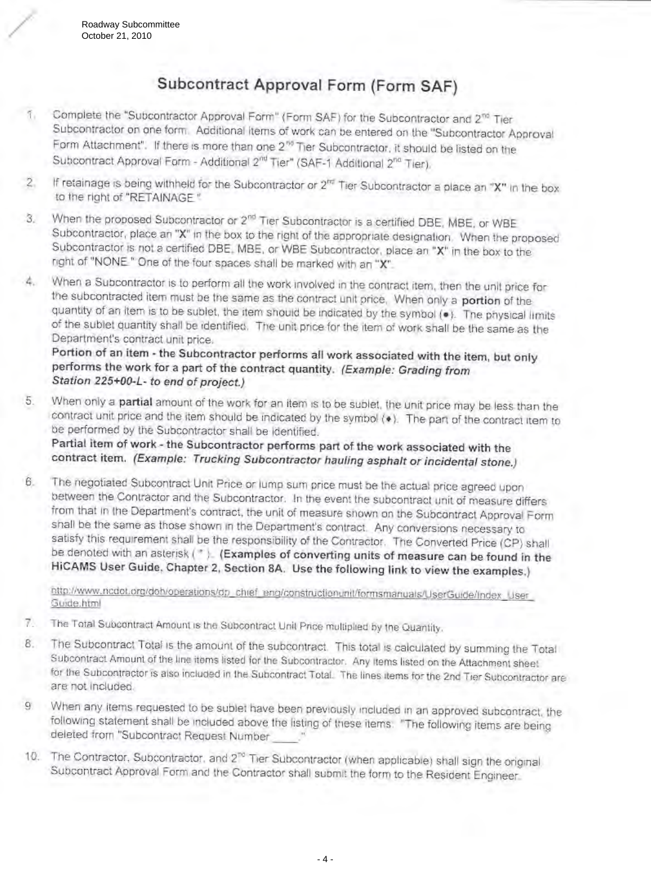## Subcontract Approval Form (Form SAF)

- Complete the "Subcontractor Approval Form" (Form SAF) for the Subcontractor and 2<sup>nd</sup> Tier Subcontractor on one form. Additional items of work can be entered on the "Subcontractor Approval Form Attachment". If there is more than one 2<sup>56</sup> Tier Subcontractor, it should be listed on the Subcontract Approval Form - Additional 2<sup>nd</sup> Tier" (SAF-1 Additional 2<sup>nd</sup> Tier).
- If retainage is being withheld for the Subcontractor or  $2^{nq}$  Tier Subcontractor a place an "X" in the box  $\overline{2}$ to the right of "RETAINAGE".
- When the proposed Subcontractor or 2<sup>nd</sup> Tier Subcontractor is a certified DBE. MBE, or WBE 3. Subcontractor, place an "X" in the box to the right of the appropriate designation. When the proposed Subcontractor is not a certified DBE. MBE, or WBE Subcontractor, place an "X" in the box to the right of "NONE" One of the four spaces shall be marked with an "X".
- When a Subcontractor is to perform all the work involved in the contract item, then the unit price for A., the subcontracted item must be the same as the contract unit price. When only a portion of the quantity of an item is to be sublet, the item should be indicated by the symbol (.). The physical limits of the sublet quantity shall be identified. The unit price for the item of work shall be the same as the Department's contract unit price.

Portion of an item - the Subcontractor performs all work associated with the item, but only performs the work for a part of the contract quantity. (Example: Grading from Station 225+00-L- to end of project.)

- When only a partial amount of the work for an item is to be sublet, the unit price may be less than the 5. contract unit price and the item should be indicated by the symbol (\*). The part of the contract item to be performed by the Subcontractor shall be identified. Partial item of work - the Subcontractor performs part of the work associated with the contract item. (Example: Trucking Subcontractor hauling asphalt or incidental stone.)
- The negotiated Subcontract Unit Price or lump sum price must be the actual price agreed upon 6. between the Contractor and the Subcontractor. In the event the subcontract unit of measure differs from that in the Department's contract, the unit of measure shown on the Subcontract Approval Form shall be the same as those shown in the Department's contract. Any conversions necessary to satisfy this requirement shall be the responsibility of the Contractor. The Converted Price (CP) shall be denoted with an asterisk (\*). (Examples of converting units of measure can be found in the HICAMS User Guide, Chapter 2, Section 8A. Use the following link to view the examples.)

http://www.ncdot.org/doh/operations/dp\_chief\_eng/constructionunit/formsmanuals/UserGuide/Index\_User Guide.html

- 7. The Total Subcontract Amount is the Subcontract Unit Price multiplied by the Quantity.
- The Subcontract Total is the amount of the subcontract. This total is calculated by summing the Total 8. Subcontract Amount of the line items listed for the Subcontractor. Any items listed on the Attachment sheet for the Subcontractor is also included in the Subcontract Total. The lines items for the 2nd Tier Subcontractor are are not included.
- $9$ When any items requested to be sublet have been previously included in an approved subcontract, the following statement shall be included above the listing of these items. "The following items are being deleted from "Subcontract Request Number
- 10. The Contractor, Subcontractor, and 2<sup>no</sup> Tier Subcontractor (when applicable) shall sign the original Subcontract Approval Form and the Contractor shall submit the form to the Resident Engineer.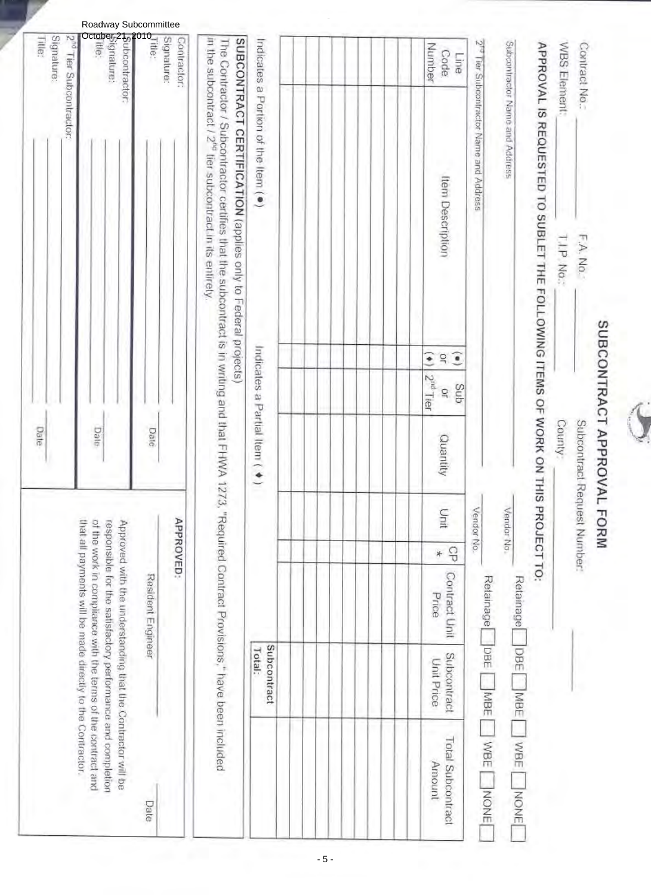# SUBCONTRACT APPROVAL FORM

| ----<br>CONTRACTOR | ۱ |
|--------------------|---|
| ί                  |   |
| 5                  |   |

| Subcontractor Name and Address                      |                                                                                                                                                                                                                              |                                            |                                    |                               | Vendor No. |               |                        |                           | Retainage DBE MBE WBE NONE         |
|-----------------------------------------------------|------------------------------------------------------------------------------------------------------------------------------------------------------------------------------------------------------------------------------|--------------------------------------------|------------------------------------|-------------------------------|------------|---------------|------------------------|---------------------------|------------------------------------|
| 2 <sup>19</sup> Tier Subcontractor Name and Address |                                                                                                                                                                                                                              |                                            |                                    |                               | Vendor No. |               |                        |                           | Retainage DBE MBE WBE NONE         |
|                                                     |                                                                                                                                                                                                                              |                                            |                                    |                               |            |               |                        |                           |                                    |
| Nunber<br>Code<br>Eine                              | Item Description                                                                                                                                                                                                             | $\widehat{\bullet}$<br>g<br>$\ddot{\cdot}$ | 2 <sup>iiti</sup> Tier<br>Sub<br>ğ | Quantity                      | Unit       | $\Theta$<br>* | Contract Unit<br>Price | Subcontract<br>Unit Price | <b>Total Subcontract</b><br>Amount |
|                                                     |                                                                                                                                                                                                                              |                                            |                                    |                               |            |               |                        |                           |                                    |
|                                                     |                                                                                                                                                                                                                              |                                            |                                    |                               |            |               |                        |                           |                                    |
| Indicates a Portion of the Item ( $\bullet$ )       |                                                                                                                                                                                                                              |                                            |                                    | Indicates a Partial Item ( ◆) |            |               |                        | Subcontract<br>Total:     |                                    |
|                                                     | SUBCONTRACT CERTIFICATION (applies only to Federal projects)                                                                                                                                                                 |                                            |                                    |                               |            |               |                        |                           |                                    |
|                                                     | in the subcontract / 2 <sup>ns</sup> fier subcontract in its enlirely.<br>The Contractor / Subcontractor certifies that the subcontract is in writing and that FHWA 1273, "Required Contract Provisions," have been included |                                            |                                    |                               |            |               |                        |                           |                                    |

| adway Subcommittee |  |
|--------------------|--|
|                    |  |

| hat all payments will be made directly to the Contractor.<br>of the work in compliance with the terms of the contract and<br>esponsible for the satisfactory performance and completion<br>Approved with the understanding that the Contractor will be<br>Resident Engineer |
|-----------------------------------------------------------------------------------------------------------------------------------------------------------------------------------------------------------------------------------------------------------------------------|
|-----------------------------------------------------------------------------------------------------------------------------------------------------------------------------------------------------------------------------------------------------------------------------|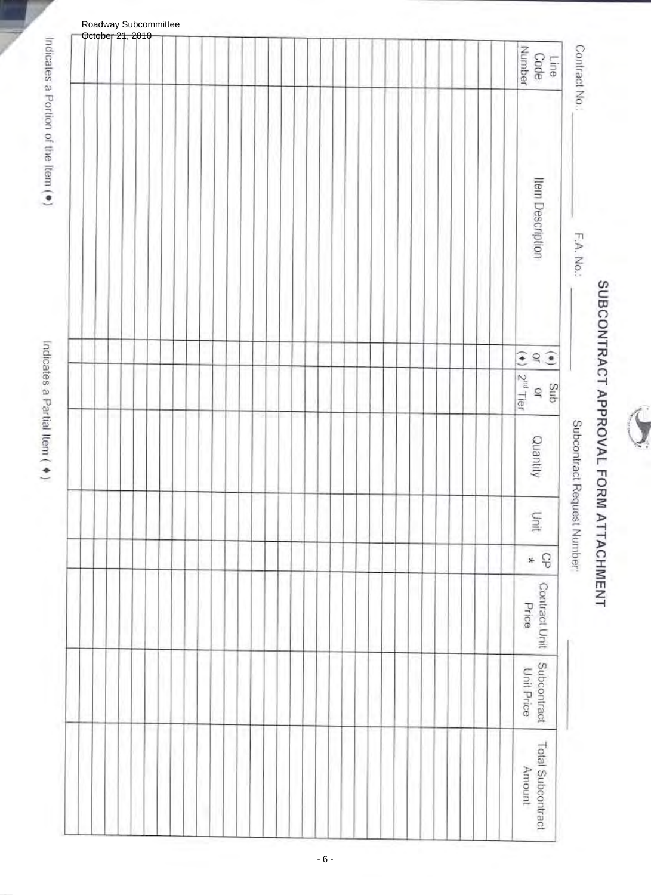

# SUBCONTRACT APPROVAL FORM ATTACHMENT

Subcontract Request Number

Contract No.

F.A. No.:

| Roadway Subcommittee<br><del>October</del> 21, 2010 |  |  |  |  |  |  |  |  |  |  |  |  |  |                                                                                                                          |
|-----------------------------------------------------|--|--|--|--|--|--|--|--|--|--|--|--|--|--------------------------------------------------------------------------------------------------------------------------|
|                                                     |  |  |  |  |  |  |  |  |  |  |  |  |  | Line<br>Code<br>Number                                                                                                   |
|                                                     |  |  |  |  |  |  |  |  |  |  |  |  |  | Item Description                                                                                                         |
|                                                     |  |  |  |  |  |  |  |  |  |  |  |  |  |                                                                                                                          |
|                                                     |  |  |  |  |  |  |  |  |  |  |  |  |  | $\begin{pmatrix} 0 \\ 0 \\ 0 \\ 0 \end{pmatrix} \xrightarrow{\text{Sub}} \begin{pmatrix} 0 \\ 0 \\ 0 \\ 0 \end{pmatrix}$ |
|                                                     |  |  |  |  |  |  |  |  |  |  |  |  |  | Quantity                                                                                                                 |
|                                                     |  |  |  |  |  |  |  |  |  |  |  |  |  | Unit                                                                                                                     |
|                                                     |  |  |  |  |  |  |  |  |  |  |  |  |  | $\mathcal{C}$<br>$*$                                                                                                     |
|                                                     |  |  |  |  |  |  |  |  |  |  |  |  |  | Contract Unit<br>Price                                                                                                   |
|                                                     |  |  |  |  |  |  |  |  |  |  |  |  |  | Subcontract<br>Unit Price                                                                                                |
|                                                     |  |  |  |  |  |  |  |  |  |  |  |  |  | Total Subcontract<br>Amount                                                                                              |

Roadway Subcommittee

Indicates a Portion of the Item (\*)

Indicates a Partial Item ( ♦)

- 6 -